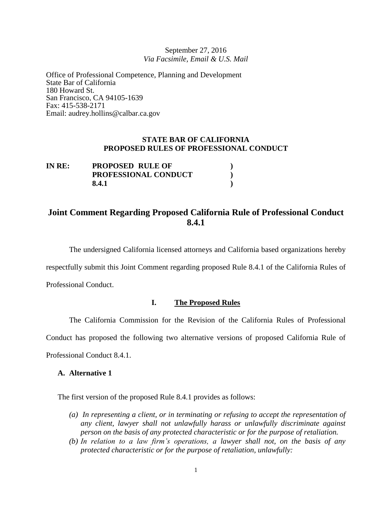September 27, 2016 *Via Facsimile, Email & U.S. Mail*

Office of Professional Competence, Planning and Development State Bar of California 180 Howard St. San Francisco, CA 94105-1639 Fax: 415-538-2171 Email: audrey.hollins@calbar.ca.gov

## **STATE BAR OF CALIFORNIA PROPOSED RULES OF PROFESSIONAL CONDUCT**

| IN RE: | <b>PROPOSED RULE OF</b> |  |
|--------|-------------------------|--|
|        | PROFESSIONAL CONDUCT    |  |
|        | 8.4.1                   |  |

# **Joint Comment Regarding Proposed California Rule of Professional Conduct 8.4.1**

The undersigned California licensed attorneys and California based organizations hereby

respectfully submit this Joint Comment regarding proposed Rule 8.4.1 of the California Rules of

Professional Conduct.

## **I. The Proposed Rules**

The California Commission for the Revision of the California Rules of Professional Conduct has proposed the following two alternative versions of proposed California Rule of Professional Conduct 8.4.1.

#### **A. Alternative 1**

The first version of the proposed Rule 8.4.1 provides as follows:

- *(a) In representing a client, or in terminating or refusing to accept the representation of any client, lawyer shall not unlawfully harass or unlawfully discriminate against person on the basis of any protected characteristic or for the purpose of retaliation.*
- *(b) In relation to a law firm's operations, a lawyer shall not, on the basis of any protected characteristic or for the purpose of retaliation, unlawfully:*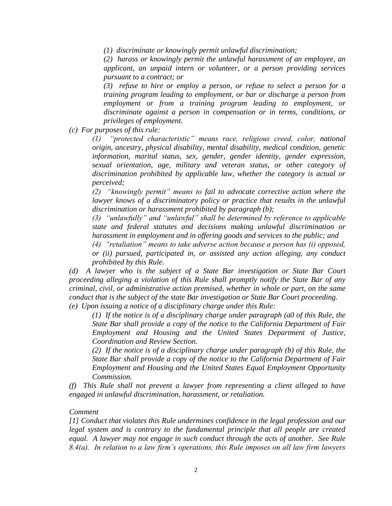*(1) discriminate or knowingly permit unlawful discrimination;*

*(2) harass or knowingly permit the unlawful harassment of an employee, an applicant, an unpaid intern or volunteer, or a person providing services pursuant to a contract; or*

*(3) refuse to hire or employ a person, or refuse to select a person for a training program leading to employment, or bar or discharge a person from employment or from a training program leading to employment, or discriminate against a person in compensation or in terms, conditions, or privileges of employment.*

*(c) For purposes of this rule:*

*(1) "protected characteristic" means race, religious creed, color, national origin, ancestry, physical disability, mental disability, medical condition, genetic information, marital status, sex, gender, gender identity, gender expression, sexual orientation, age, military and veteran status, or other category of discrimination prohibited by applicable law, whether the category is actual or perceived;*

*(2) "knowingly permit" means to fail to advocate corrective action where the lawyer knows of a discriminatory policy or practice that results in the unlawful discrimination or harassment prohibited by paragraph (b);*

*(3) "unlawfully" and "unlawful" shall be determined by reference to applicable state and federal statutes and decisions making unlawful discrimination or harassment in employment and in offering goods and services to the public; and*

*(4) "retaliation" means to take adverse action because a person has (i) opposed, or (ii) pursued, participated in, or assisted any action alleging, any conduct prohibited by this Rule.*

*(d) A lawyer who is the subject of a State Bar investigation or State Bar Court proceeding alleging a violation of this Rule shall promptly notify the State Bar of any criminal, civil, or administrative action premised, whether in whole or part, on the same conduct that is the subject of the state Bar investigation or State Bar Court proceeding.*

*(e) Upon issuing a notice of a disciplinary charge under this Rule:*

*(1) If the notice is of a disciplinary charge under paragraph (a0 of this Rule, the State Bar shall provide a copy of the notice to the California Department of Fair Employment and Housing and the United States Department of Justice, Coordination and Review Section.*

*(2) If the notice is of a disciplinary charge under paragraph (b) of this Rule, the State Bar shall provide a copy of the notice to the California Department of Fair Employment and Housing and the United States Equal Employment Opportunity Commission.*

*(f) This Rule shall not prevent a lawyer from representing a client alleged to have engaged in unlawful discrimination, harassment, or retaliation.*

### *Comment*

*[1] Conduct that violates this Rule undermines confidence in the legal profession and our legal system and is contrary to the fundamental principle that all people are created equal. A lawyer may not engage in such conduct through the acts of another. See Rule 8.4(a). In relation to a law firm's operations, this Rule imposes on all law firm lawyers*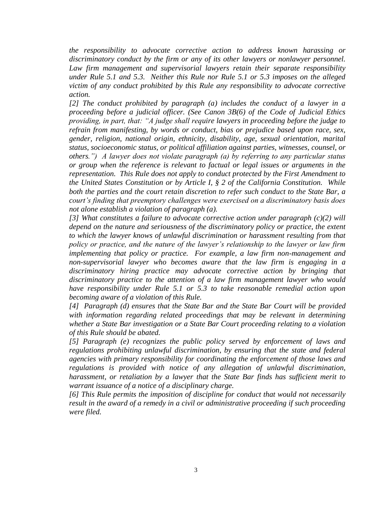*the responsibility to advocate corrective action to address known harassing or discriminatory conduct by the firm or any of its other lawyers or nonlawyer personnel. Law firm management and supervisorial lawyers retain their separate responsibility under Rule 5.1 and 5.3. Neither this Rule nor Rule 5.1 or 5.3 imposes on the alleged victim of any conduct prohibited by this Rule any responsibility to advocate corrective action.*

*[2] The conduct prohibited by paragraph (a) includes the conduct of a lawyer in a proceeding before a judicial officer. (See Canon 3B(6) of the Code of Judicial Ethics providing, in part, that: "A judge shall require lawyers in proceeding before the judge to refrain from manifesting, by words or conduct, bias or prejudice based upon race, sex, gender, religion, national origin, ethnicity, disability, age, sexual orientation, marital status, socioeconomic status, or political affiliation against parties, witnesses, counsel, or others.") A lawyer does not violate paragraph (a) by referring to any particular status or group when the reference is relevant to factual or legal issues or arguments in the representation. This Rule does not apply to conduct protected by the First Amendment to the United States Constitution or by Article I, § 2 of the California Constitution. While both the parties and the court retain discretion to refer such conduct to the State Bar, a court's finding that preemptory challenges were exercised on a discriminatory basis does not alone establish a violation of paragraph (a).*

*[3] What constitutes a failure to advocate corrective action under paragraph (c)(2) will depend on the nature and seriousness of the discriminatory policy or practice, the extent to which the lawyer knows of unlawful discrimination or harassment resulting from that policy or practice, and the nature of the lawyer's relationship to the lawyer or law firm implementing that policy or practice. For example, a law firm non-management and non-supervisorial lawyer who becomes aware that the law firm is engaging in a discriminatory hiring practice may advocate corrective action by bringing that discriminatory practice to the attention of a law firm management lawyer who would have responsibility under Rule 5.1 or 5.3 to take reasonable remedial action upon becoming aware of a violation of this Rule.*

*[4] Paragraph (d) ensures that the State Bar and the State Bar Court will be provided with information regarding related proceedings that may be relevant in determining whether a State Bar investigation or a State Bar Court proceeding relating to a violation of this Rule should be abated.*

*[5] Paragraph (e) recognizes the public policy served by enforcement of laws and regulations prohibiting unlawful discrimination, by ensuring that the state and federal agencies with primary responsibility for coordinating the enforcement of those laws and regulations is provided with notice of any allegation of unlawful discrimination, harassment, or retaliation by a lawyer that the State Bar finds has sufficient merit to warrant issuance of a notice of a disciplinary charge.*

*[6] This Rule permits the imposition of discipline for conduct that would not necessarily result in the award of a remedy in a civil or administrative proceeding if such proceeding were filed.*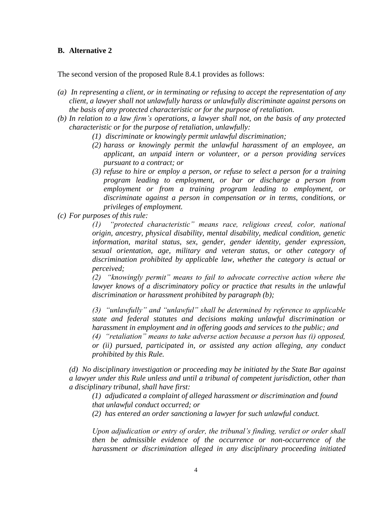## **B. Alternative 2**

The second version of the proposed Rule 8.4.1 provides as follows:

- *(a) In representing a client, or in terminating or refusing to accept the representation of any client, a lawyer shall not unlawfully harass or unlawfully discriminate against persons on the basis of any protected characteristic or for the purpose of retaliation.*
- *(b) In relation to a law firm's operations, a lawyer shall not, on the basis of any protected characteristic or for the purpose of retaliation, unlawfully:*
	- *(1) discriminate or knowingly permit unlawful discrimination;*
	- *(2) harass or knowingly permit the unlawful harassment of an employee, an applicant, an unpaid intern or volunteer, or a person providing services pursuant to a contract; or*
	- *(3) refuse to hire or employ a person, or refuse to select a person for a training program leading to employment, or bar or discharge a person from employment or from a training program leading to employment, or discriminate against a person in compensation or in terms, conditions, or privileges of employment.*
- *(c) For purposes of this rule:*

*(1) "protected characteristic" means race, religious creed, color, national origin, ancestry, physical disability, mental disability, medical condition, genetic information, marital status, sex, gender, gender identity, gender expression, sexual orientation, age, military and veteran status, or other category of discrimination prohibited by applicable law, whether the category is actual or perceived;*

*(2) "knowingly permit" means to fail to advocate corrective action where the lawyer knows of a discriminatory policy or practice that results in the unlawful discrimination or harassment prohibited by paragraph (b);*

*(3) "unlawfully" and "unlawful" shall be determined by reference to applicable state and federal statutes and decisions making unlawful discrimination or harassment in employment and in offering goods and services to the public; and (4) "retaliation" means to take adverse action because a person has (i) opposed,* 

*or (ii) pursued, participated in, or assisted any action alleging, any conduct prohibited by this Rule.*

*(d) No disciplinary investigation or proceeding may be initiated by the State Bar against a lawyer under this Rule unless and until a tribunal of competent jurisdiction, other than a disciplinary tribunal, shall have first:*

*(1) adjudicated a complaint of alleged harassment or discrimination and found that unlawful conduct occurred; or*

*(2) has entered an order sanctioning a lawyer for such unlawful conduct.*

*Upon adjudication or entry of order, the tribunal's finding, verdict or order shall then be admissible evidence of the occurrence or non-occurrence of the harassment or discrimination alleged in any disciplinary proceeding initiated*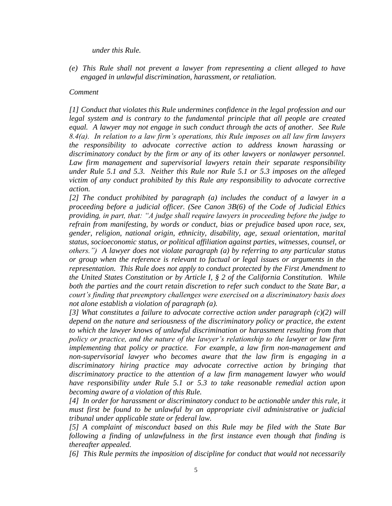#### *under this Rule.*

*(e) This Rule shall not prevent a lawyer from representing a client alleged to have engaged in unlawful discrimination, harassment, or retaliation.*

#### *Comment*

*[1] Conduct that violates this Rule undermines confidence in the legal profession and our*  legal system and is contrary to the fundamental principle that all people are created *equal. A lawyer may not engage in such conduct through the acts of another. See Rule 8.4(a). In relation to a law firm's operations, this Rule imposes on all law firm lawyers the responsibility to advocate corrective action to address known harassing or discriminatory conduct by the firm or any of its other lawyers or nonlawyer personnel. Law firm management and supervisorial lawyers retain their separate responsibility under Rule 5.1 and 5.3. Neither this Rule nor Rule 5.1 or 5.3 imposes on the alleged victim of any conduct prohibited by this Rule any responsibility to advocate corrective action.*

*[2] The conduct prohibited by paragraph (a) includes the conduct of a lawyer in a proceeding before a judicial officer. (See Canon 3B(6) of the Code of Judicial Ethics providing, in part, that: "A judge shall require lawyers in proceeding before the judge to refrain from manifesting, by words or conduct, bias or prejudice based upon race, sex, gender, religion, national origin, ethnicity, disability, age, sexual orientation, marital status, socioeconomic status, or political affiliation against parties, witnesses, counsel, or others.") A lawyer does not violate paragraph (a) by referring to any particular status or group when the reference is relevant to factual or legal issues or arguments in the representation. This Rule does not apply to conduct protected by the First Amendment to the United States Constitution or by Article I, § 2 of the California Constitution. While both the parties and the court retain discretion to refer such conduct to the State Bar, a court's finding that preemptory challenges were exercised on a discriminatory basis does not alone establish a violation of paragraph (a).*

*[3] What constitutes a failure to advocate corrective action under paragraph (c)(2) will depend on the nature and seriousness of the discriminatory policy or practice, the extent*  to which the lawyer knows of unlawful discrimination or harassment resulting from that *policy or practice, and the nature of the lawyer's relationship to the lawyer or law firm implementing that policy or practice. For example, a law firm non-management and non-supervisorial lawyer who becomes aware that the law firm is engaging in a discriminatory hiring practice may advocate corrective action by bringing that discriminatory practice to the attention of a law firm management lawyer who would have responsibility under Rule 5.1 or 5.3 to take reasonable remedial action upon becoming aware of a violation of this Rule.*

*[4] In order for harassment or discriminatory conduct to be actionable under this rule, it must first be found to be unlawful by an appropriate civil administrative or judicial tribunal under applicable state or federal law.*

*[5] A complaint of misconduct based on this Rule may be filed with the State Bar following a finding of unlawfulness in the first instance even though that finding is thereafter appealed.*

*[6] This Rule permits the imposition of discipline for conduct that would not necessarily*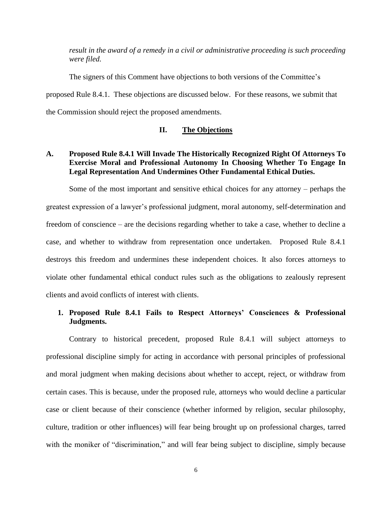*result in the award of a remedy in a civil or administrative proceeding is such proceeding were filed.*

The signers of this Comment have objections to both versions of the Committee's proposed Rule 8.4.1. These objections are discussed below. For these reasons, we submit that the Commission should reject the proposed amendments.

### **II. The Objections**

## **A. Proposed Rule 8.4.1 Will Invade The Historically Recognized Right Of Attorneys To Exercise Moral and Professional Autonomy In Choosing Whether To Engage In Legal Representation And Undermines Other Fundamental Ethical Duties.**

Some of the most important and sensitive ethical choices for any attorney – perhaps the greatest expression of a lawyer's professional judgment, moral autonomy, self-determination and freedom of conscience – are the decisions regarding whether to take a case, whether to decline a case, and whether to withdraw from representation once undertaken. Proposed Rule 8.4.1 destroys this freedom and undermines these independent choices. It also forces attorneys to violate other fundamental ethical conduct rules such as the obligations to zealously represent clients and avoid conflicts of interest with clients.

## **1. Proposed Rule 8.4.1 Fails to Respect Attorneys' Consciences & Professional Judgments.**

Contrary to historical precedent, proposed Rule 8.4.1 will subject attorneys to professional discipline simply for acting in accordance with personal principles of professional and moral judgment when making decisions about whether to accept, reject, or withdraw from certain cases. This is because, under the proposed rule, attorneys who would decline a particular case or client because of their conscience (whether informed by religion, secular philosophy, culture, tradition or other influences) will fear being brought up on professional charges, tarred with the moniker of "discrimination," and will fear being subject to discipline, simply because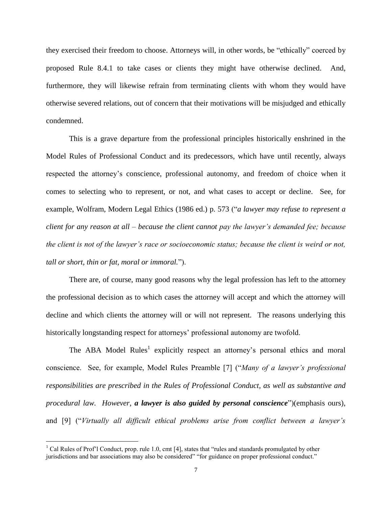they exercised their freedom to choose. Attorneys will, in other words, be "ethically" coerced by proposed Rule 8.4.1 to take cases or clients they might have otherwise declined. And, furthermore, they will likewise refrain from terminating clients with whom they would have otherwise severed relations, out of concern that their motivations will be misjudged and ethically condemned.

This is a grave departure from the professional principles historically enshrined in the Model Rules of Professional Conduct and its predecessors, which have until recently, always respected the attorney's conscience, professional autonomy, and freedom of choice when it comes to selecting who to represent, or not, and what cases to accept or decline. See, for example, Wolfram, Modern Legal Ethics (1986 ed.) p. 573 ("*a lawyer may refuse to represent a client for any reason at all – because the client cannot pay the lawyer's demanded fee; because the client is not of the lawyer's race or socioeconomic status; because the client is weird or not, tall or short, thin or fat, moral or immoral.*").

There are, of course, many good reasons why the legal profession has left to the attorney the professional decision as to which cases the attorney will accept and which the attorney will decline and which clients the attorney will or will not represent. The reasons underlying this historically longstanding respect for attorneys' professional autonomy are twofold.

The ABA Model Rules<sup>1</sup> explicitly respect an attorney's personal ethics and moral conscience. See, for example, Model Rules Preamble [7] ("*Many of a lawyer's professional responsibilities are prescribed in the Rules of Professional Conduct, as well as substantive and procedural law. However, a lawyer is also guided by personal conscience*")(emphasis ours), and [9] ("*Virtually all difficult ethical problems arise from conflict between a lawyer's* 

 $1$  Cal Rules of Prof'l Conduct, prop. rule 1.0, cmt [4], states that "rules and standards promulgated by other jurisdictions and bar associations may also be considered" "for guidance on proper professional conduct."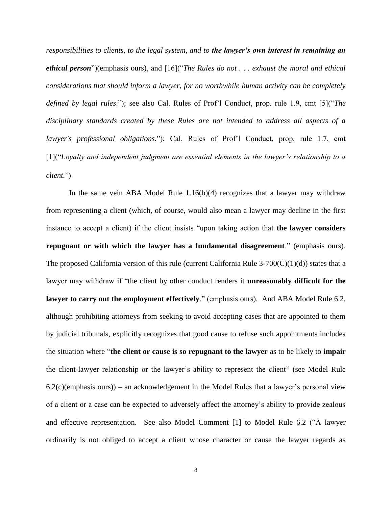*responsibilities to clients, to the legal system, and to the lawyer's own interest in remaining an ethical person*")(emphasis ours), and [16]("*The Rules do not . . . exhaust the moral and ethical considerations that should inform a lawyer, for no worthwhile human activity can be completely defined by legal rules*."); see also Cal. Rules of Prof'l Conduct, prop. rule 1.9, cmt [5]("*The disciplinary standards created by these Rules are not intended to address all aspects of a lawyer's professional obligations.*"); Cal. Rules of Prof'l Conduct, prop. rule 1.7, cmt [1]("*Loyalty and independent judgment are essential elements in the lawyer's relationship to a client.*")

In the same vein ABA Model Rule 1.16(b)(4) recognizes that a lawyer may withdraw from representing a client (which, of course, would also mean a lawyer may decline in the first instance to accept a client) if the client insists "upon taking action that **the lawyer considers repugnant or with which the lawyer has a fundamental disagreement**." (emphasis ours). The proposed California version of this rule (current California Rule  $3-700(C)(1)(d)$ ) states that a lawyer may withdraw if "the client by other conduct renders it **unreasonably difficult for the lawyer to carry out the employment effectively**." (emphasis ours). And ABA Model Rule 6.2, although prohibiting attorneys from seeking to avoid accepting cases that are appointed to them by judicial tribunals, explicitly recognizes that good cause to refuse such appointments includes the situation where "**the client or cause is so repugnant to the lawyer** as to be likely to **impair** the client-lawyer relationship or the lawyer's ability to represent the client" (see Model Rule  $6.2(c)$ (emphasis ours)) – an acknowledgement in the Model Rules that a lawyer's personal view of a client or a case can be expected to adversely affect the attorney's ability to provide zealous and effective representation. See also Model Comment [1] to Model Rule 6.2 ("A lawyer ordinarily is not obliged to accept a client whose character or cause the lawyer regards as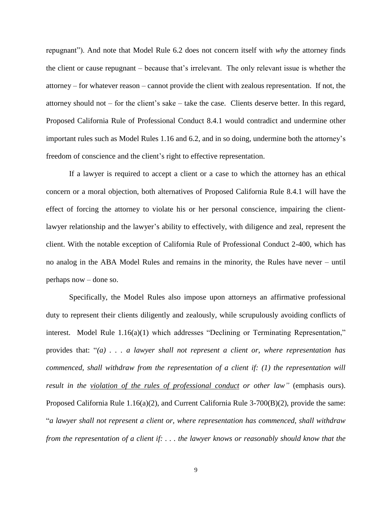repugnant"). And note that Model Rule 6.2 does not concern itself with *why* the attorney finds the client or cause repugnant – because that's irrelevant. The only relevant issue is whether the attorney – for whatever reason – cannot provide the client with zealous representation. If not, the attorney should not – for the client's sake – take the case. Clients deserve better. In this regard, Proposed California Rule of Professional Conduct 8.4.1 would contradict and undermine other important rules such as Model Rules 1.16 and 6.2, and in so doing, undermine both the attorney's freedom of conscience and the client's right to effective representation.

If a lawyer is required to accept a client or a case to which the attorney has an ethical concern or a moral objection, both alternatives of Proposed California Rule 8.4.1 will have the effect of forcing the attorney to violate his or her personal conscience, impairing the clientlawyer relationship and the lawyer's ability to effectively, with diligence and zeal, represent the client. With the notable exception of California Rule of Professional Conduct 2-400, which has no analog in the ABA Model Rules and remains in the minority, the Rules have never – until perhaps now – done so.

Specifically, the Model Rules also impose upon attorneys an affirmative professional duty to represent their clients diligently and zealously, while scrupulously avoiding conflicts of interest. Model Rule 1.16(a)(1) which addresses "Declining or Terminating Representation," provides that: "*(a) . . . a lawyer shall not represent a client or, where representation has commenced, shall withdraw from the representation of a client if: (1) the representation will result in the violation of the rules of professional conduct or other law"* (emphasis ours). Proposed California Rule 1.16(a)(2), and Current California Rule 3-700(B)(2), provide the same: "*a lawyer shall not represent a client or, where representation has commenced, shall withdraw from the representation of a client if: . . . the lawyer knows or reasonably should know that the*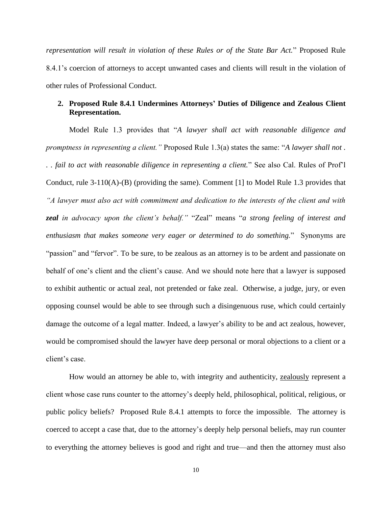*representation will result in violation of these Rules or of the State Bar Act.*" Proposed Rule 8.4.1's coercion of attorneys to accept unwanted cases and clients will result in the violation of other rules of Professional Conduct.

## **2. Proposed Rule 8.4.1 Undermines Attorneys' Duties of Diligence and Zealous Client Representation.**

Model Rule 1.3 provides that "*A lawyer shall act with reasonable diligence and promptness in representing a client."* Proposed Rule 1.3(a) states the same: "*A lawyer shall not . . . fail to act with reasonable diligence in representing a client.*" See also Cal. Rules of Prof'l Conduct, rule 3-110(A)-(B) (providing the same). Comment [1] to Model Rule 1.3 provides that *"A lawyer must also act with commitment and dedication to the interests of the client and with zeal in advocacy upon the client's behalf."* "Zeal" means "*a strong feeling of interest and enthusiasm that makes someone very eager or determined to do something.*" Synonyms are "passion" and "fervor". To be sure, to be zealous as an attorney is to be ardent and passionate on behalf of one's client and the client's cause. And we should note here that a lawyer is supposed to exhibit authentic or actual zeal, not pretended or fake zeal. Otherwise, a judge, jury, or even opposing counsel would be able to see through such a disingenuous ruse, which could certainly damage the outcome of a legal matter. Indeed, a lawyer's ability to be and act zealous, however, would be compromised should the lawyer have deep personal or moral objections to a client or a client's case.

How would an attorney be able to, with integrity and authenticity, zealously represent a client whose case runs counter to the attorney's deeply held, philosophical, political, religious, or public policy beliefs?Proposed Rule 8.4.1 attempts to force the impossible. The attorney is coerced to accept a case that, due to the attorney's deeply help personal beliefs, may run counter to everything the attorney believes is good and right and true––and then the attorney must also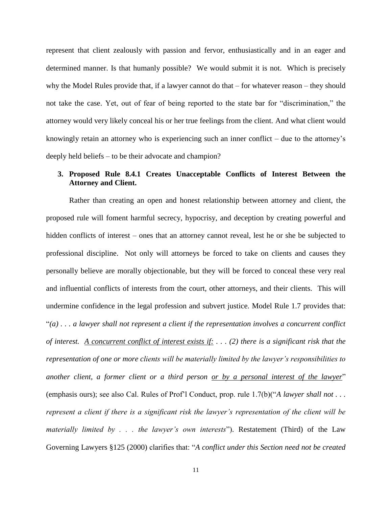represent that client zealously with passion and fervor, enthusiastically and in an eager and determined manner. Is that humanly possible? We would submit it is not. Which is precisely why the Model Rules provide that, if a lawyer cannot do that – for whatever reason – they should not take the case. Yet, out of fear of being reported to the state bar for "discrimination," the attorney would very likely conceal his or her true feelings from the client. And what client would knowingly retain an attorney who is experiencing such an inner conflict – due to the attorney's deeply held beliefs – to be their advocate and champion?

## **3. Proposed Rule 8.4.1 Creates Unacceptable Conflicts of Interest Between the Attorney and Client.**

Rather than creating an open and honest relationship between attorney and client, the proposed rule will foment harmful secrecy, hypocrisy, and deception by creating powerful and hidden conflicts of interest – ones that an attorney cannot reveal, lest he or she be subjected to professional discipline. Not only will attorneys be forced to take on clients and causes they personally believe are morally objectionable, but they will be forced to conceal these very real and influential conflicts of interests from the court, other attorneys, and their clients. This will undermine confidence in the legal profession and subvert justice. Model Rule 1.7 provides that: "*(a) . . . a lawyer shall not represent a client if the representation involves a concurrent conflict of interest. A concurrent conflict of interest exists if: . . . (2) there is a significant risk that the representation of one or more clients will be materially limited by the lawyer's responsibilities to another client, a former client or a third person or by a personal interest of the lawyer*" (emphasis ours); see also Cal. Rules of Prof'l Conduct, prop. rule 1.7(b)("*A lawyer shall not . . . represent a client if there is a significant risk the lawyer's representation of the client will be materially limited by . . . the lawyer's own interests*"). Restatement (Third) of the Law Governing Lawyers §125 (2000) clarifies that: "*A conflict under this Section need not be created*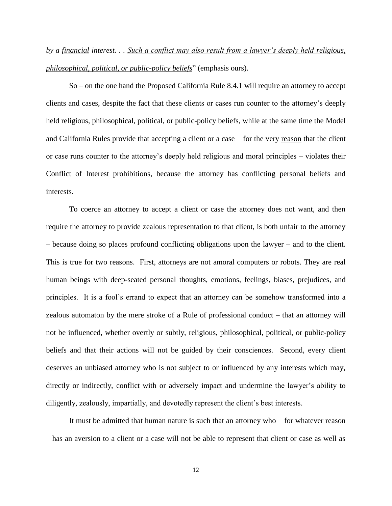*by a financial interest. . . Such a conflict may also result from a lawyer's deeply held religious, philosophical, political, or public-policy beliefs*" (emphasis ours).

So – on the one hand the Proposed California Rule 8.4.1 will require an attorney to accept clients and cases, despite the fact that these clients or cases run counter to the attorney's deeply held religious, philosophical, political, or public-policy beliefs, while at the same time the Model and California Rules provide that accepting a client or a case – for the very reason that the client or case runs counter to the attorney's deeply held religious and moral principles – violates their Conflict of Interest prohibitions, because the attorney has conflicting personal beliefs and interests.

To coerce an attorney to accept a client or case the attorney does not want, and then require the attorney to provide zealous representation to that client, is both unfair to the attorney – because doing so places profound conflicting obligations upon the lawyer – and to the client. This is true for two reasons. First, attorneys are not amoral computers or robots. They are real human beings with deep-seated personal thoughts, emotions, feelings, biases, prejudices, and principles. It is a fool's errand to expect that an attorney can be somehow transformed into a zealous automaton by the mere stroke of a Rule of professional conduct – that an attorney will not be influenced, whether overtly or subtly, religious, philosophical, political, or public-policy beliefs and that their actions will not be guided by their consciences. Second, every client deserves an unbiased attorney who is not subject to or influenced by any interests which may, directly or indirectly, conflict with or adversely impact and undermine the lawyer's ability to diligently, zealously, impartially, and devotedly represent the client's best interests.

It must be admitted that human nature is such that an attorney who – for whatever reason – has an aversion to a client or a case will not be able to represent that client or case as well as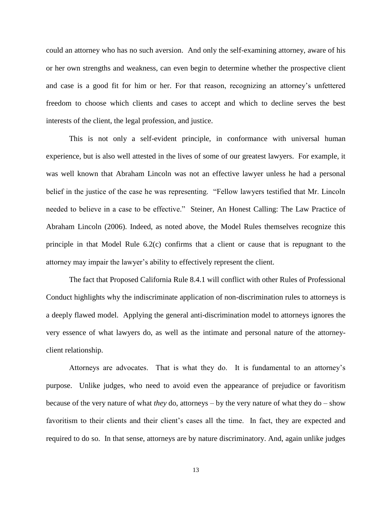could an attorney who has no such aversion. And only the self-examining attorney, aware of his or her own strengths and weakness, can even begin to determine whether the prospective client and case is a good fit for him or her. For that reason, recognizing an attorney's unfettered freedom to choose which clients and cases to accept and which to decline serves the best interests of the client, the legal profession, and justice.

This is not only a self-evident principle, in conformance with universal human experience, but is also well attested in the lives of some of our greatest lawyers. For example, it was well known that Abraham Lincoln was not an effective lawyer unless he had a personal belief in the justice of the case he was representing. "Fellow lawyers testified that Mr. Lincoln needed to believe in a case to be effective." Steiner, An Honest Calling: The Law Practice of Abraham Lincoln (2006). Indeed, as noted above, the Model Rules themselves recognize this principle in that Model Rule 6.2(c) confirms that a client or cause that is repugnant to the attorney may impair the lawyer's ability to effectively represent the client.

The fact that Proposed California Rule 8.4.1 will conflict with other Rules of Professional Conduct highlights why the indiscriminate application of non-discrimination rules to attorneys is a deeply flawed model. Applying the general anti-discrimination model to attorneys ignores the very essence of what lawyers do, as well as the intimate and personal nature of the attorneyclient relationship.

Attorneys are advocates. That is what they do. It is fundamental to an attorney's purpose. Unlike judges, who need to avoid even the appearance of prejudice or favoritism because of the very nature of what *they* do, attorneys – by the very nature of what they do – show favoritism to their clients and their client's cases all the time. In fact, they are expected and required to do so. In that sense, attorneys are by nature discriminatory. And, again unlike judges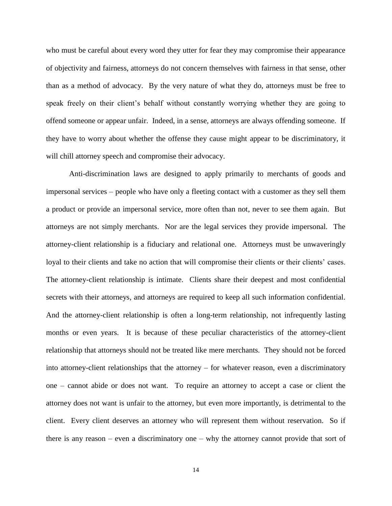who must be careful about every word they utter for fear they may compromise their appearance of objectivity and fairness, attorneys do not concern themselves with fairness in that sense, other than as a method of advocacy. By the very nature of what they do, attorneys must be free to speak freely on their client's behalf without constantly worrying whether they are going to offend someone or appear unfair. Indeed, in a sense, attorneys are always offending someone. If they have to worry about whether the offense they cause might appear to be discriminatory, it will chill attorney speech and compromise their advocacy.

Anti-discrimination laws are designed to apply primarily to merchants of goods and impersonal services – people who have only a fleeting contact with a customer as they sell them a product or provide an impersonal service, more often than not, never to see them again. But attorneys are not simply merchants. Nor are the legal services they provide impersonal. The attorney-client relationship is a fiduciary and relational one. Attorneys must be unwaveringly loyal to their clients and take no action that will compromise their clients or their clients' cases. The attorney-client relationship is intimate. Clients share their deepest and most confidential secrets with their attorneys, and attorneys are required to keep all such information confidential. And the attorney-client relationship is often a long-term relationship, not infrequently lasting months or even years. It is because of these peculiar characteristics of the attorney-client relationship that attorneys should not be treated like mere merchants. They should not be forced into attorney-client relationships that the attorney – for whatever reason, even a discriminatory one – cannot abide or does not want. To require an attorney to accept a case or client the attorney does not want is unfair to the attorney, but even more importantly, is detrimental to the client. Every client deserves an attorney who will represent them without reservation. So if there is any reason – even a discriminatory one – why the attorney cannot provide that sort of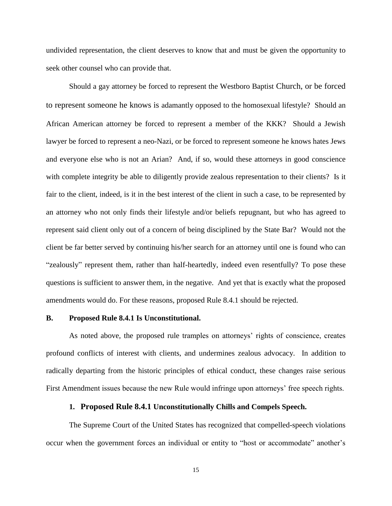undivided representation, the client deserves to know that and must be given the opportunity to seek other counsel who can provide that.

Should a gay attorney be forced to represent the Westboro Baptist Church, or be forced to represent someone he knows is adamantly opposed to the homosexual lifestyle? Should an African American attorney be forced to represent a member of the KKK? Should a Jewish lawyer be forced to represent a neo-Nazi, or be forced to represent someone he knows hates Jews and everyone else who is not an Arian? And, if so, would these attorneys in good conscience with complete integrity be able to diligently provide zealous representation to their clients? Is it fair to the client, indeed, is it in the best interest of the client in such a case, to be represented by an attorney who not only finds their lifestyle and/or beliefs repugnant, but who has agreed to represent said client only out of a concern of being disciplined by the State Bar? Would not the client be far better served by continuing his/her search for an attorney until one is found who can "zealously" represent them, rather than half-heartedly, indeed even resentfully? To pose these questions is sufficient to answer them, in the negative. And yet that is exactly what the proposed amendments would do. For these reasons, proposed Rule 8.4.1 should be rejected.

#### **B. Proposed Rule 8.4.1 Is Unconstitutional.**

As noted above, the proposed rule tramples on attorneys' rights of conscience, creates profound conflicts of interest with clients, and undermines zealous advocacy. In addition to radically departing from the historic principles of ethical conduct, these changes raise serious First Amendment issues because the new Rule would infringe upon attorneys' free speech rights.

#### **1. Proposed Rule 8.4.1 Unconstitutionally Chills and Compels Speech.**

The Supreme Court of the United States has recognized that compelled-speech violations occur when the government forces an individual or entity to "host or accommodate" another's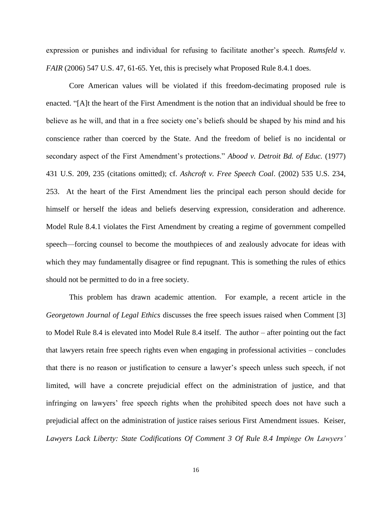expression or punishes and individual for refusing to facilitate another's speech. *Rumsfeld v. FAIR* (2006) 547 U.S. 47, 61-65. Yet, this is precisely what Proposed Rule 8.4.1 does.

Core American values will be violated if this freedom-decimating proposed rule is enacted. "[A]t the heart of the First Amendment is the notion that an individual should be free to believe as he will, and that in a free society one's beliefs should be shaped by his mind and his conscience rather than coerced by the State. And the freedom of belief is no incidental or secondary aspect of the First Amendment's protections." *Abood v. Detroit Bd. of Educ.* (1977) 431 U.S. 209, 235 (citations omitted); cf. *Ashcroft v. Free Speech Coal*. (2002) 535 U.S. 234, 253. At the heart of the First Amendment lies the principal each person should decide for himself or herself the ideas and beliefs deserving expression, consideration and adherence. Model Rule 8.4.1 violates the First Amendment by creating a regime of government compelled speech—forcing counsel to become the mouthpieces of and zealously advocate for ideas with which they may fundamentally disagree or find repugnant. This is something the rules of ethics should not be permitted to do in a free society.

This problem has drawn academic attention. For example, a recent article in the *Georgetown Journal of Legal Ethics* discusses the free speech issues raised when Comment [3] to Model Rule 8.4 is elevated into Model Rule 8.4 itself. The author – after pointing out the fact that lawyers retain free speech rights even when engaging in professional activities – concludes that there is no reason or justification to censure a lawyer's speech unless such speech, if not limited, will have a concrete prejudicial effect on the administration of justice, and that infringing on lawyers' free speech rights when the prohibited speech does not have such a prejudicial affect on the administration of justice raises serious First Amendment issues. Keiser, *Lawyers Lack Liberty: State Codifications Of Comment 3 Of Rule 8.4 Impinge On Lawyers'*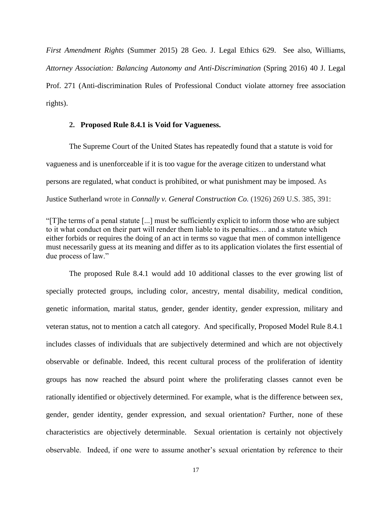*First Amendment Rights* (Summer 2015) 28 Geo. J. Legal Ethics 629. See also, Williams, *Attorney Association: Balancing Autonomy and Anti-Discrimination* (Spring 2016) 40 J. Legal Prof. 271 (Anti-discrimination Rules of Professional Conduct violate attorney free association rights).

#### **2. Proposed Rule 8.4.1 is Void for Vagueness.**

The Supreme Court of the United States has repeatedly found that a statute is void for vagueness and is unenforceable if it is too vague for the average citizen to understand what persons are regulated, what conduct is prohibited, or what punishment may be imposed. As Justice Sutherland wrote in *Connally v. General Construction Co.* (1926) 269 U.S. 385, 391:

"[T]he terms of a penal statute [...] must be sufficiently explicit to inform those who are subject to it what conduct on their part will render them liable to its penalties… and a statute which either forbids or requires the doing of an act in terms so vague that men of common intelligence must necessarily guess at its meaning and differ as to its application violates the first essential of due process of law."

The proposed Rule 8.4.1 would add 10 additional classes to the ever growing list of specially protected groups, including color, ancestry, mental disability, medical condition, genetic information, marital status, gender, gender identity, gender expression, military and veteran status, not to mention a catch all category. And specifically, Proposed Model Rule 8.4.1 includes classes of individuals that are subjectively determined and which are not objectively observable or definable. Indeed, this recent cultural process of the proliferation of identity groups has now reached the absurd point where the proliferating classes cannot even be rationally identified or objectively determined. For example, what is the difference between sex, gender, gender identity, gender expression, and sexual orientation? Further, none of these characteristics are objectively determinable. Sexual orientation is certainly not objectively observable. Indeed, if one were to assume another's sexual orientation by reference to their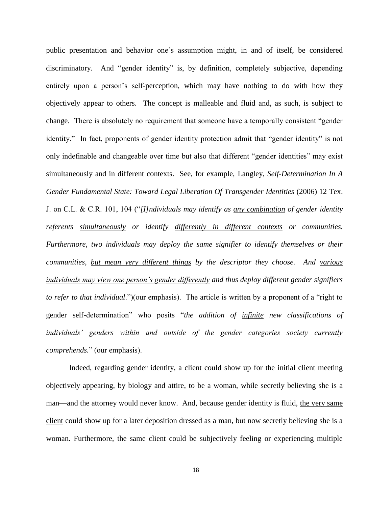public presentation and behavior one's assumption might, in and of itself, be considered discriminatory. And "gender identity" is, by definition, completely subjective, depending entirely upon a person's self-perception, which may have nothing to do with how they objectively appear to others. The concept is malleable and fluid and, as such, is subject to change. There is absolutely no requirement that someone have a temporally consistent "gender identity." In fact, proponents of gender identity protection admit that "gender identity" is not only indefinable and changeable over time but also that different "gender identities" may exist simultaneously and in different contexts. See, for example, Langley, *Self-Determination In A Gender Fundamental State: Toward Legal Liberation Of Transgender Identities* (2006) 12 Tex. J. on C.L. & C.R. 101, 104 ("*[I]ndividuals may identify as any combination of gender identity referents simultaneously or identify differently in different contexts or communities. Furthermore, two individuals may deploy the same signifier to identify themselves or their communities, but mean very different things by the descriptor they choose. And various individuals may view one person's gender differently and thus deploy different gender signifiers to refer to that individual*.")(our emphasis). The article is written by a proponent of a "right to gender self-determination" who posits "*the addition of infinite new classifications of individuals' genders within and outside of the gender categories society currently comprehends.*" (our emphasis).

Indeed, regarding gender identity, a client could show up for the initial client meeting objectively appearing, by biology and attire, to be a woman, while secretly believing she is a man—and the attorney would never know. And, because gender identity is fluid, the very same client could show up for a later deposition dressed as a man, but now secretly believing she is a woman. Furthermore, the same client could be subjectively feeling or experiencing multiple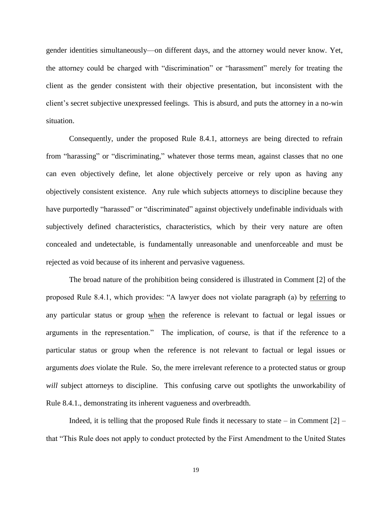gender identities simultaneously—on different days, and the attorney would never know. Yet, the attorney could be charged with "discrimination" or "harassment" merely for treating the client as the gender consistent with their objective presentation, but inconsistent with the client's secret subjective unexpressed feelings. This is absurd, and puts the attorney in a no-win situation.

Consequently, under the proposed Rule 8.4.1, attorneys are being directed to refrain from "harassing" or "discriminating," whatever those terms mean, against classes that no one can even objectively define, let alone objectively perceive or rely upon as having any objectively consistent existence. Any rule which subjects attorneys to discipline because they have purportedly "harassed" or "discriminated" against objectively undefinable individuals with subjectively defined characteristics, characteristics, which by their very nature are often concealed and undetectable, is fundamentally unreasonable and unenforceable and must be rejected as void because of its inherent and pervasive vagueness.

The broad nature of the prohibition being considered is illustrated in Comment [2] of the proposed Rule 8.4.1, which provides: "A lawyer does not violate paragraph (a) by referring to any particular status or group when the reference is relevant to factual or legal issues or arguments in the representation." The implication, of course, is that if the reference to a particular status or group when the reference is not relevant to factual or legal issues or arguments *does* violate the Rule. So, the mere irrelevant reference to a protected status or group *will* subject attorneys to discipline. This confusing carve out spotlights the unworkability of Rule 8.4.1., demonstrating its inherent vagueness and overbreadth.

Indeed, it is telling that the proposed Rule finds it necessary to state – in Comment  $[2]$  – that "This Rule does not apply to conduct protected by the First Amendment to the United States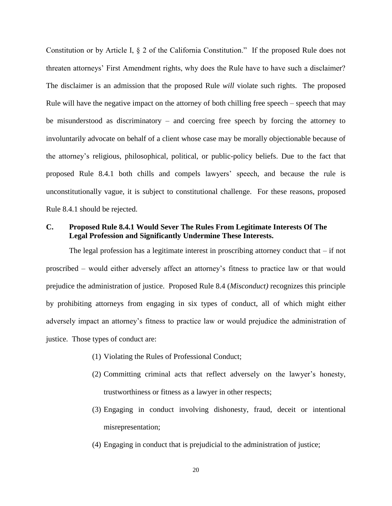Constitution or by Article I, § 2 of the California Constitution." If the proposed Rule does not threaten attorneys' First Amendment rights, why does the Rule have to have such a disclaimer? The disclaimer is an admission that the proposed Rule *will* violate such rights. The proposed Rule will have the negative impact on the attorney of both chilling free speech – speech that may be misunderstood as discriminatory – and coercing free speech by forcing the attorney to involuntarily advocate on behalf of a client whose case may be morally objectionable because of the attorney's religious, philosophical, political, or public-policy beliefs. Due to the fact that proposed Rule 8.4.1 both chills and compels lawyers' speech, and because the rule is unconstitutionally vague, it is subject to constitutional challenge. For these reasons, proposed Rule 8.4.1 should be rejected.

## **C. Proposed Rule 8.4.1 Would Sever The Rules From Legitimate Interests Of The Legal Profession and Significantly Undermine These Interests.**

The legal profession has a legitimate interest in proscribing attorney conduct that  $-$  if not proscribed – would either adversely affect an attorney's fitness to practice law or that would prejudice the administration of justice. Proposed Rule 8.4 (*Misconduct)* recognizes this principle by prohibiting attorneys from engaging in six types of conduct, all of which might either adversely impact an attorney's fitness to practice law or would prejudice the administration of justice. Those types of conduct are:

- (1) Violating the Rules of Professional Conduct;
- (2) Committing criminal acts that reflect adversely on the lawyer's honesty, trustworthiness or fitness as a lawyer in other respects;
- (3) Engaging in conduct involving dishonesty, fraud, deceit or intentional misrepresentation;
- (4) Engaging in conduct that is prejudicial to the administration of justice;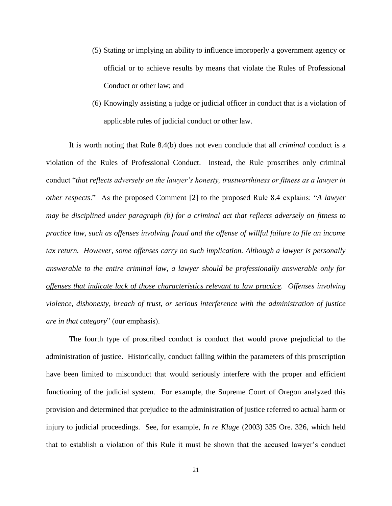- (5) Stating or implying an ability to influence improperly a government agency or official or to achieve results by means that violate the Rules of Professional Conduct or other law; and
- (6) Knowingly assisting a judge or judicial officer in conduct that is a violation of applicable rules of judicial conduct or other law.

It is worth noting that Rule 8.4(b) does not even conclude that all *criminal* conduct is a violation of the Rules of Professional Conduct. Instead, the Rule proscribes only criminal conduct "*that reflects adversely on the lawyer's honesty, trustworthiness or fitness as a lawyer in other respects*." As the proposed Comment [2] to the proposed Rule 8.4 explains: "*A lawyer may be disciplined under paragraph (b) for a criminal act that reflects adversely on fitness to practice law, such as offenses involving fraud and the offense of willful failure to file an income tax return. However, some offenses carry no such implication. Although a lawyer is personally answerable to the entire criminal law, a lawyer should be professionally answerable only for offenses that indicate lack of those characteristics relevant to law practice. Offenses involving violence, dishonesty, breach of trust, or serious interference with the administration of justice are in that category*" (our emphasis).

The fourth type of proscribed conduct is conduct that would prove prejudicial to the administration of justice. Historically, conduct falling within the parameters of this proscription have been limited to misconduct that would seriously interfere with the proper and efficient functioning of the judicial system. For example, the Supreme Court of Oregon analyzed this provision and determined that prejudice to the administration of justice referred to actual harm or injury to judicial proceedings. See, for example, *In re Kluge* (2003) 335 Ore. 326, which held that to establish a violation of this Rule it must be shown that the accused lawyer's conduct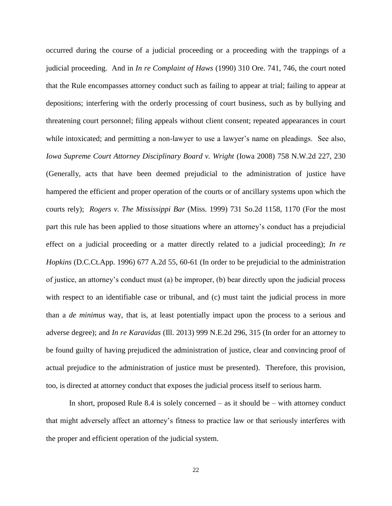occurred during the course of a judicial proceeding or a proceeding with the trappings of a judicial proceeding. And in *In re Complaint of Haws* (1990) 310 Ore. 741, 746, the court noted that the Rule encompasses attorney conduct such as failing to appear at trial; failing to appear at depositions; interfering with the orderly processing of court business, such as by bullying and threatening court personnel; filing appeals without client consent; repeated appearances in court while intoxicated; and permitting a non-lawyer to use a lawyer's name on pleadings. See also, *Iowa Supreme Court Attorney Disciplinary Board v. Wright* (Iowa 2008) 758 N.W.2d 227, 230 (Generally, acts that have been deemed prejudicial to the administration of justice have hampered the efficient and proper operation of the courts or of ancillary systems upon which the courts rely); *Rogers v. The Mississippi Bar* (Miss. 1999) 731 So.2d 1158, 1170 (For the most part this rule has been applied to those situations where an attorney's conduct has a prejudicial effect on a judicial proceeding or a matter directly related to a judicial proceeding); *In re Hopkins* (D.C.Ct.App. 1996) 677 A.2d 55, 60-61 (In order to be prejudicial to the administration of justice, an attorney's conduct must (a) be improper, (b) bear directly upon the judicial process with respect to an identifiable case or tribunal, and (c) must taint the judicial process in more than a *de minimus* way, that is, at least potentially impact upon the process to a serious and adverse degree); and *In re Karavidas* (Ill. 2013) 999 N.E.2d 296, 315 (In order for an attorney to be found guilty of having prejudiced the administration of justice, clear and convincing proof of actual prejudice to the administration of justice must be presented). Therefore, this provision, too, is directed at attorney conduct that exposes the judicial process itself to serious harm.

In short, proposed Rule 8.4 is solely concerned – as it should be – with attorney conduct that might adversely affect an attorney's fitness to practice law or that seriously interferes with the proper and efficient operation of the judicial system.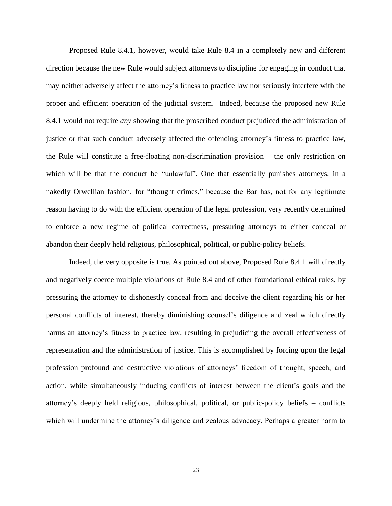Proposed Rule 8.4.1, however, would take Rule 8.4 in a completely new and different direction because the new Rule would subject attorneys to discipline for engaging in conduct that may neither adversely affect the attorney's fitness to practice law nor seriously interfere with the proper and efficient operation of the judicial system. Indeed, because the proposed new Rule 8.4.1 would not require *any* showing that the proscribed conduct prejudiced the administration of justice or that such conduct adversely affected the offending attorney's fitness to practice law, the Rule will constitute a free-floating non-discrimination provision – the only restriction on which will be that the conduct be "unlawful". One that essentially punishes attorneys, in a nakedly Orwellian fashion, for "thought crimes," because the Bar has, not for any legitimate reason having to do with the efficient operation of the legal profession, very recently determined to enforce a new regime of political correctness, pressuring attorneys to either conceal or abandon their deeply held religious, philosophical, political, or public-policy beliefs.

Indeed, the very opposite is true. As pointed out above, Proposed Rule 8.4.1 will directly and negatively coerce multiple violations of Rule 8.4 and of other foundational ethical rules, by pressuring the attorney to dishonestly conceal from and deceive the client regarding his or her personal conflicts of interest, thereby diminishing counsel's diligence and zeal which directly harms an attorney's fitness to practice law, resulting in prejudicing the overall effectiveness of representation and the administration of justice. This is accomplished by forcing upon the legal profession profound and destructive violations of attorneys' freedom of thought, speech, and action, while simultaneously inducing conflicts of interest between the client's goals and the attorney's deeply held religious, philosophical, political, or public-policy beliefs – conflicts which will undermine the attorney's diligence and zealous advocacy. Perhaps a greater harm to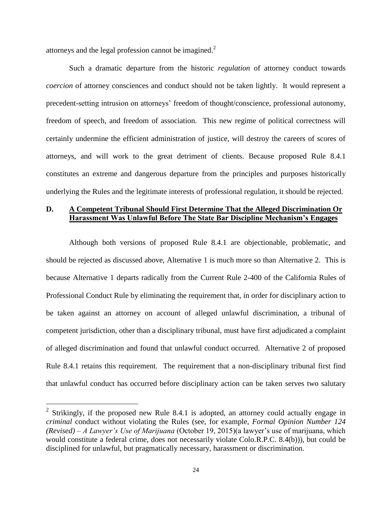attorneys and the legal profession cannot be imagined.<sup>2</sup>

Such a dramatic departure from the historic *regulation* of attorney conduct towards *coercion* of attorney consciences and conduct should not be taken lightly. It would represent a precedent-setting intrusion on attorneys' freedom of thought/conscience, professional autonomy, freedom of speech, and freedom of association. This new regime of political correctness will certainly undermine the efficient administration of justice, will destroy the careers of scores of attorneys, and will work to the great detriment of clients. Because proposed Rule 8.4.1 constitutes an extreme and dangerous departure from the principles and purposes historically underlying the Rules and the legitimate interests of professional regulation, it should be rejected.

## **D. A Competent Tribunal Should First Determine That the Alleged Discrimination Or Harassment Was Unlawful Before The State Bar Discipline Mechanism's Engages**

Although both versions of proposed Rule 8.4.1 are objectionable, problematic, and should be rejected as discussed above, Alternative 1 is much more so than Alternative 2. This is because Alternative 1 departs radically from the Current Rule 2-400 of the California Rules of Professional Conduct Rule by eliminating the requirement that, in order for disciplinary action to be taken against an attorney on account of alleged unlawful discrimination, a tribunal of competent jurisdiction, other than a disciplinary tribunal, must have first adjudicated a complaint of alleged discrimination and found that unlawful conduct occurred. Alternative 2 of proposed Rule 8.4.1 retains this requirement. The requirement that a non-disciplinary tribunal first find that unlawful conduct has occurred before disciplinary action can be taken serves two salutary

 $\overline{a}$ 

<sup>&</sup>lt;sup>2</sup> Strikingly, if the proposed new Rule 8.4.1 is adopted, an attorney could actually engage in *criminal* conduct without violating the Rules (see, for example, *Formal Opinion Number 124 (Revised) – A Lawyer's Use of Marijuana* (October 19, 2015)(a lawyer's use of marijuana, which would constitute a federal crime, does not necessarily violate Colo.R.P.C. 8.4(b))), but could be disciplined for unlawful, but pragmatically necessary, harassment or discrimination.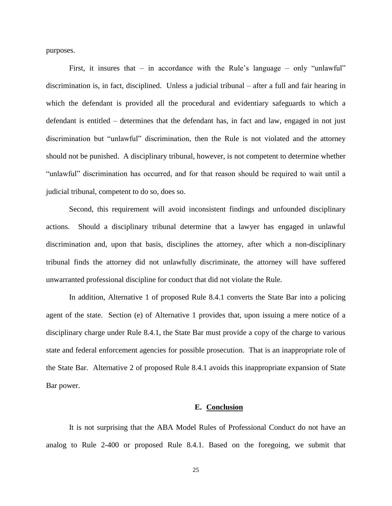purposes.

First, it insures that – in accordance with the Rule's language – only "unlawful" discrimination is, in fact, disciplined. Unless a judicial tribunal – after a full and fair hearing in which the defendant is provided all the procedural and evidentiary safeguards to which a defendant is entitled – determines that the defendant has, in fact and law, engaged in not just discrimination but "unlawful" discrimination, then the Rule is not violated and the attorney should not be punished. A disciplinary tribunal, however, is not competent to determine whether "unlawful" discrimination has occurred, and for that reason should be required to wait until a judicial tribunal, competent to do so, does so.

Second, this requirement will avoid inconsistent findings and unfounded disciplinary actions. Should a disciplinary tribunal determine that a lawyer has engaged in unlawful discrimination and, upon that basis, disciplines the attorney, after which a non-disciplinary tribunal finds the attorney did not unlawfully discriminate, the attorney will have suffered unwarranted professional discipline for conduct that did not violate the Rule.

In addition, Alternative 1 of proposed Rule 8.4.1 converts the State Bar into a policing agent of the state. Section (e) of Alternative 1 provides that, upon issuing a mere notice of a disciplinary charge under Rule 8.4.1, the State Bar must provide a copy of the charge to various state and federal enforcement agencies for possible prosecution. That is an inappropriate role of the State Bar. Alternative 2 of proposed Rule 8.4.1 avoids this inappropriate expansion of State Bar power.

#### **E. Conclusion**

It is not surprising that the ABA Model Rules of Professional Conduct do not have an analog to Rule 2-400 or proposed Rule 8.4.1. Based on the foregoing, we submit that

25